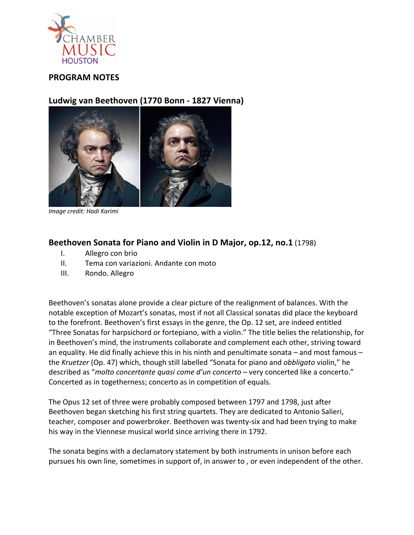

## **PROGRAM NOTES**

## **Ludwig van Beethoven (1770 Bonn - 1827 Vienna)**



*Image credit: Hadi Karimi*

## **Beethoven Sonata for Piano and Violin in D Major, op.12, no.1** (1798)

- I. Allegro con brio
- II. Tema con variazioni. Andante con moto
- III. Rondo. Allegro

Beethoven's sonatas alone provide a clear picture of the realignment of balances. With the notable exception of Mozart's sonatas, most if not all Classical sonatas did place the keyboard to the forefront. Beethoven's first essays in the genre, the Op. 12 set, are indeed entitled "Three Sonatas for harpsichord or fortepiano, with a violin." The title belies the relationship, for in Beethoven's mind, the instruments collaborate and complement each other, striving toward an equality. He did finally achieve this in his ninth and penultimate sonata – and most famous – the *Kruetzer* (Op. 47) which, though still labelled "Sonata for piano and *obbligato* violin," he described as "*molto concertante quasi come d'un concerto* – very concerted like a concerto." Concerted as in togetherness; concerto as in competition of equals.

The Opus 12 set of three were probably composed between 1797 and 1798, just after Beethoven began sketching his first string quartets. They are dedicated to Antonio Salieri, teacher, composer and powerbroker. Beethoven was twenty-six and had been trying to make his way in the Viennese musical world since arriving there in 1792.

The sonata begins with a declamatory statement by both instruments in unison before each pursues his own line, sometimes in support of, in answer to , or even independent of the other.